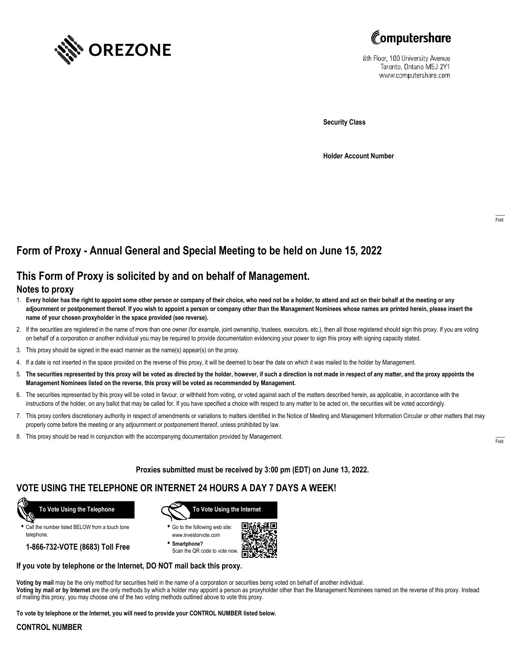



8th Floor, 100 University Avenue Toronto, Ontario M5J 2Y1 www.computershare.com

**Security Class**

**Holder Account Number**

# **Form of Proxy - Annual General and Special Meeting to be held on June 15, 2022**

## **This Form of Proxy is solicited by and on behalf of Management.**

#### **Notes to proxy**

- 1. **Every holder has the right to appoint some other person or company of their choice, who need not be a holder, to attend and act on their behalf at the meeting or any adjournment or postponement thereof. If you wish to appoint a person or company other than the Management Nominees whose names are printed herein, please insert the name of your chosen proxyholder in the space provided (see reverse).**
- 2. If the securities are registered in the name of more than one owner (for example, joint ownership, trustees, executors, etc.), then all those registered should sign this proxy. If you are voting on behalf of a corporation or another individual you may be required to provide documentation evidencing your power to sign this proxy with signing capacity stated.
- 3. This proxy should be signed in the exact manner as the name(s) appear(s) on the proxy.
- 4. If a date is not inserted in the space provided on the reverse of this proxy, it will be deemed to bear the date on which it was mailed to the holder by Management.
- 5. **The securities represented by this proxy will be voted as directed by the holder, however, if such a direction is not made in respect of any matter, and the proxy appoints the Management Nominees listed on the reverse, this proxy will be voted as recommended by Management.**
- 6. The securities represented by this proxy will be voted in favour, or withheld from voting, or voted against each of the matters described herein, as applicable, in accordance with the instructions of the holder, on any ballot that may be called for. If you have specified a choice with respect to any matter to be acted on, the securities will be voted accordingly.
- 7. This proxy confers discretionary authority in respect of amendments or variations to matters identified in the Notice of Meeting and Management Information Circular or other matters that may properly come before the meeting or any adjournment or postponement thereof, unless prohibited by law.
- 8. This proxy should be read in conjunction with the accompanying documentation provided by Management.

**Proxies submitted must be received by 3:00 pm (EDT) on June 13, 2022.**

## **VOTE USING THE TELEPHONE OR INTERNET 24 HOURS A DAY 7 DAYS A WEEK!**



**•** Call the number listed BELOW from a touch tone telephone.

**1-866-732-VOTE (8683) Toll Free**



**•** Go to the following web site: www.investorvote.com

**• Smartphone?** Scan the QR code to vote now.



#### **If you vote by telephone or the Internet, DO NOT mail back this proxy.**

**Voting by mail** may be the only method for securities held in the name of a corporation or securities being voted on behalf of another individual. **Voting by mail or by Internet** are the only methods by which a holder may appoint a person as proxyholder other than the Management Nominees named on the reverse of this proxy. Instead of mailing this proxy, you may choose one of the two voting methods outlined above to vote this proxy.

**To vote by telephone or the Internet, you will need to provide your CONTROL NUMBER listed below.**

#### **CONTROL NUMBER**